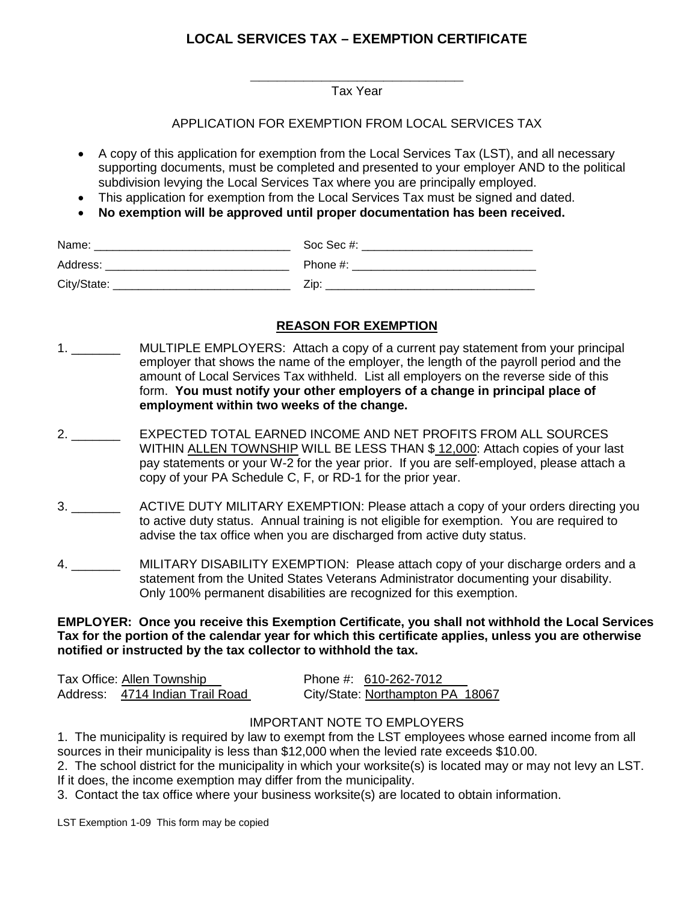## **LOCAL SERVICES TAX – EXEMPTION CERTIFICATE**

**\_\_\_\_\_\_\_\_\_\_\_\_\_\_\_\_\_\_\_\_\_\_\_\_**  Tax Year

#### APPLICATION FOR EXEMPTION FROM LOCAL SERVICES TAX

- A copy of this application for exemption from the Local Services Tax (LST), and all necessary supporting documents, must be completed and presented to your employer AND to the political subdivision levying the Local Services Tax where you are principally employed.
- This application for exemption from the Local Services Tax must be signed and dated.
- **No exemption will be approved until proper documentation has been received.**

| Name:       | Soc Sec #: |
|-------------|------------|
| Address:    | Phone #:   |
| City/State: | Zin        |

# **REASON FOR EXEMPTION**

- 1. MULTIPLE EMPLOYERS: Attach a copy of a current pay statement from your principal employer that shows the name of the employer, the length of the payroll period and the amount of Local Services Tax withheld. List all employers on the reverse side of this form. **You must notify your other employers of a change in principal place of employment within two weeks of the change.**
- 2. \_\_\_\_\_\_\_ EXPECTED TOTAL EARNED INCOME AND NET PROFITS FROM ALL SOURCES WITHIN ALLEN TOWNSHIP WILL BE LESS THAN \$ 12,000: Attach copies of your last pay statements or your W-2 for the year prior. If you are self-employed, please attach a copy of your PA Schedule C, F, or RD-1 for the prior year.
- 3. \_\_\_\_\_\_\_ ACTIVE DUTY MILITARY EXEMPTION: Please attach a copy of your orders directing you to active duty status. Annual training is not eligible for exemption. You are required to advise the tax office when you are discharged from active duty status.
- 4. \_\_\_\_\_\_\_ MILITARY DISABILITY EXEMPTION: Please attach copy of your discharge orders and a statement from the United States Veterans Administrator documenting your disability. Only 100% permanent disabilities are recognized for this exemption.

**EMPLOYER: Once you receive this Exemption Certificate, you shall not withhold the Local Services Tax for the portion of the calendar year for which this certificate applies, unless you are otherwise notified or instructed by the tax collector to withhold the tax.** 

| Tax Office: Allen Township      | Phone #: 610-262-7012            |  |
|---------------------------------|----------------------------------|--|
| Address: 4714 Indian Trail Road | City/State: Northampton PA 18067 |  |

### IMPORTANT NOTE TO EMPLOYERS

1. The municipality is required by law to exempt from the LST employees whose earned income from all sources in their municipality is less than \$12,000 when the levied rate exceeds \$10.00.

2. The school district for the municipality in which your worksite(s) is located may or may not levy an LST. If it does, the income exemption may differ from the municipality.

3. Contact the tax office where your business worksite(s) are located to obtain information.

LST Exemption 1-09 This form may be copied